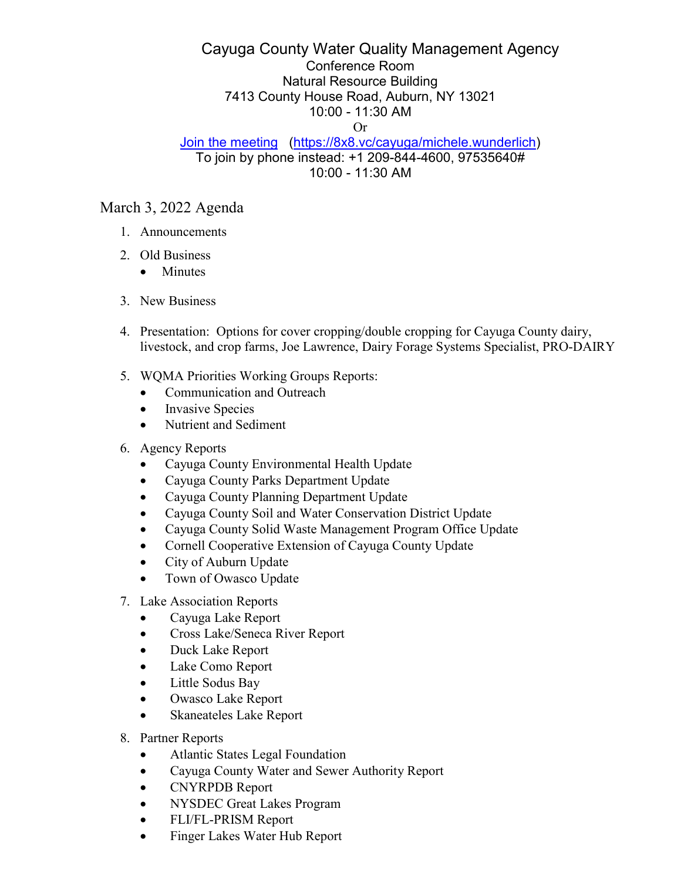## Cayuga County Water Quality Management Agency Conference Room Natural Resource Building 7413 County House Road, Auburn, NY 13021 10:00 - 11:30 AM Or

## [Join the meeting](https://8x8.vc/cayuga/michele.wunderlich) [\(https://8x8.vc/cayuga/michele.wunderlich\)](https://8x8.vc/cayuga/michele.wunderlich) To join by phone instead: +1 209-844-4600, 97535640# 10:00 - 11:30 AM

## March 3, 2022 Agenda

- 1. Announcements
- 2. Old Business
	- Minutes
- 3. New Business
- 4. Presentation: Options for cover cropping/double cropping for Cayuga County dairy, livestock, and crop farms, Joe Lawrence, Dairy Forage Systems Specialist, PRO-DAIRY
- 5. WQMA Priorities Working Groups Reports:
	- Communication and Outreach
	- Invasive Species
	- Nutrient and Sediment
- 6. Agency Reports
	- Cayuga County Environmental Health Update
	- Cayuga County Parks Department Update
	- Cayuga County Planning Department Update
	- Cayuga County Soil and Water Conservation District Update
	- Cayuga County Solid Waste Management Program Office Update
	- Cornell Cooperative Extension of Cayuga County Update
	- City of Auburn Update
	- Town of Owasco Update
- 7. Lake Association Reports
	- Cayuga Lake Report
	- Cross Lake/Seneca River Report
	- Duck Lake Report
	- Lake Como Report
	- Little Sodus Bay
	- Owasco Lake Report
	- Skaneateles Lake Report
- 8. Partner Reports
	- Atlantic States Legal Foundation
	- Cayuga County Water and Sewer Authority Report
	- CNYRPDB Report
	- NYSDEC Great Lakes Program
	- FLI/FL-PRISM Report
	- Finger Lakes Water Hub Report